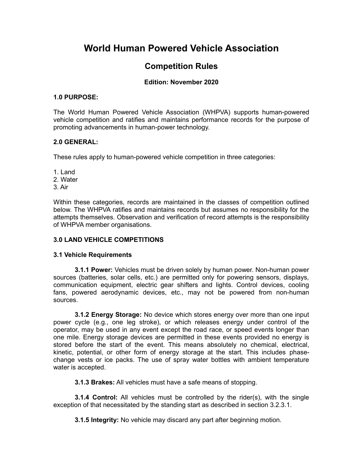# **World Human Powered Vehicle Association**

## **Competition Rules**

## **Edition: November 2020**

#### **1.0 PURPOSE:**

The World Human Powered Vehicle Association (WHPVA) supports human-powered vehicle competition and ratifies and maintains performance records for the purpose of promoting advancements in human-power technology.

## **2.0 GENERAL:**

These rules apply to human-powered vehicle competition in three categories:

1. Land

2. Water

3. Air

Within these categories, records are maintained in the classes of competition outlined below. The WHPVA ratifies and maintains records but assumes no responsibility for the attempts themselves. Observation and verification of record attempts is the responsibility of WHPVA member organisations.

## **3.0 LAND VEHICLE COMPETITIONS**

## **3.1 Vehicle Requirements**

**3.1.1 Power:** Vehicles must be driven solely by human power. Non-human power sources (batteries, solar cells, etc.) are permitted only for powering sensors, displays, communication equipment, electric gear shifters and lights. Control devices, cooling fans, powered aerodynamic devices, etc., may not be powered from non-human sources.

**3.1.2 Energy Storage:** No device which stores energy over more than one input power cycle (e.g., one leg stroke), or which releases energy under control of the operator, may be used in any event except the road race, or speed events longer than one mile. Energy storage devices are permitted in these events provided no energy is stored before the start of the event. This means absolutely no chemical, electrical, kinetic, potential, or other form of energy storage at the start. This includes phasechange vests or ice packs. The use of spray water bottles with ambient temperature water is accepted.

**3.1.3 Brakes:** All vehicles must have a safe means of stopping.

**3.1.4 Control:** All vehicles must be controlled by the rider(s), with the single exception of that necessitated by the standing start as described in section 3.2.3.1.

**3.1.5 Integrity:** No vehicle may discard any part after beginning motion.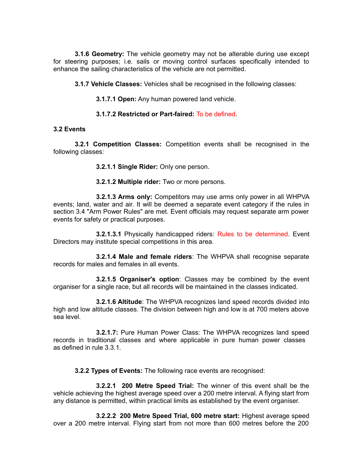**3.1.6 Geometry:** The vehicle geometry may not be alterable during use except for steering purposes; i.e. sails or moving control surfaces specifically intended to enhance the sailing characteristics of the vehicle are not permitted.

**3.1.7 Vehicle Classes:** Vehicles shall be recognised in the following classes:

**3.1.7.1 Open:** Any human powered land vehicle.

## **3.1.7.2 Restricted or Part-faired:** To be defined.

#### **3.2 Events**

**3.2.1 Competition Classes:** Competition events shall be recognised in the following classes:

**3.2.1.1 Single Rider:** Only one person.

**3.2.1.2 Multiple rider:** Two or more persons.

**3.2.1.3 Arms only:** Competitors may use arms only power in all WHPVA events; land, water and air. It will be deemed a separate event category if the rules in section 3.4 "Arm Power Rules" are met. Event officials may request separate arm power events for safety or practical purposes.

**3.2.1.3.1** Physically handicapped riders: Rules to be determined. Event Directors may institute special competitions in this area.

**3.2.1.4 Male and female riders**: The WHPVA shall recognise separate records for males and females in all events.

**3.2.1.5 Organiser's option**: Classes may be combined by the event organiser for a single race, but all records will be maintained in the classes indicated.

**3.2.1.6 Altitude**: The WHPVA recognizes land speed records divided into high and low altitude classes. The division between high and low is at 700 meters above sea level.

**3.2.1.7:** Pure Human Power Class: The WHPVA recognizes land speed records in traditional classes and where applicable in pure human power classes as defined in rule 3.3.1.

**3.2.2 Types of Events:** The following race events are recognised:

**3.2.2.1 200 Metre Speed Trial:** The winner of this event shall be the vehicle achieving the highest average speed over a 200 metre interval. A flying start from any distance is permitted, within practical limits as established by the event organiser.

**3.2.2.2 200 Metre Speed Trial, 600 metre start:** Highest average speed over a 200 metre interval. Flying start from not more than 600 metres before the 200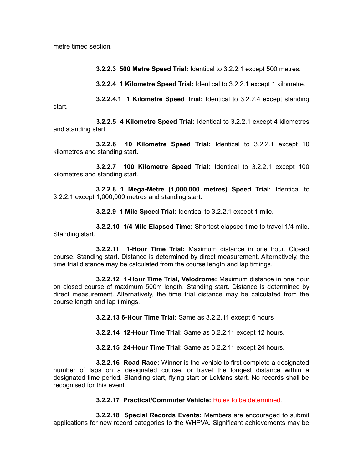metre timed section.

**3.2.2.3 500 Metre Speed Trial:** Identical to 3.2.2.1 except 500 metres.

**3.2.2.4 1 Kilometre Speed Trial:** Identical to 3.2.2.1 except 1 kilometre.

**3.2.2.4.1 1 Kilometre Speed Trial:** Identical to 3.2.2.4 except standing start.

**3.2.2.5 4 Kilometre Speed Trial:** Identical to 3.2.2.1 except 4 kilometres and standing start.

**3.2.2.6 10 Kilometre Speed Trial:** Identical to 3.2.2.1 except 10 kilometres and standing start.

**3.2.2.7 100 Kilometre Speed Trial:** Identical to 3.2.2.1 except 100 kilometres and standing start.

**3.2.2.8 1 Mega-Metre (1,000,000 metres) Speed Trial:** Identical to 3.2.2.1 except 1,000,000 metres and standing start.

**3.2.2.9 1 Mile Speed Trial:** Identical to 3.2.2.1 except 1 mile.

**3.2.2.10 1/4 Mile Elapsed Time:** Shortest elapsed time to travel 1/4 mile. Standing start.

**3.2.2.11 1-Hour Time Trial:** Maximum distance in one hour. Closed course. Standing start. Distance is determined by direct measurement. Alternatively, the time trial distance may be calculated from the course length and lap timings.

**3.2.2.12 1-Hour Time Trial, Velodrome:** Maximum distance in one hour on closed course of maximum 500m length. Standing start. Distance is determined by direct measurement. Alternatively, the time trial distance may be calculated from the course length and lap timings.

**3.2.2.13 6-Hour Time Trial:** Same as 3.2.2.11 except 6 hours

**3.2.2.14 12-Hour Time Trial:** Same as 3.2.2.11 except 12 hours.

**3.2.2.15 24-Hour Time Trial:** Same as 3.2.2.11 except 24 hours.

**3.2.2.16 Road Race:** Winner is the vehicle to first complete a designated number of laps on a designated course, or travel the longest distance within a designated time period. Standing start, flying start or LeMans start. No records shall be recognised for this event.

**3.2.2.17 Practical/Commuter Vehicle:** Rules to be determined.

**3.2.2.18 Special Records Events:** Members are encouraged to submit applications for new record categories to the WHPVA. Significant achievements may be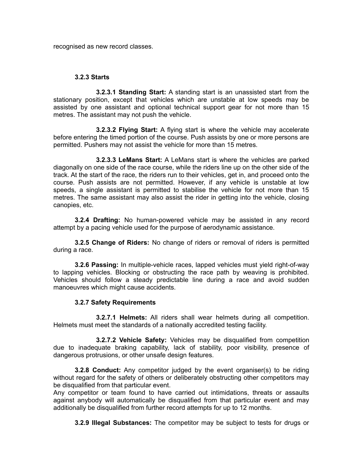recognised as new record classes.

#### **3.2.3 Starts**

**3.2.3.1 Standing Start:** A standing start is an unassisted start from the stationary position, except that vehicles which are unstable at low speeds may be assisted by one assistant and optional technical support gear for not more than 15 metres. The assistant may not push the vehicle.

**3.2.3.2 Flying Start:** A flying start is where the vehicle may accelerate before entering the timed portion of the course. Push assists by one or more persons are permitted. Pushers may not assist the vehicle for more than 15 metres.

**3.2.3.3 LeMans Start:** A LeMans start is where the vehicles are parked diagonally on one side of the race course, while the riders line up on the other side of the track. At the start of the race, the riders run to their vehicles, get in, and proceed onto the course. Push assists are not permitted. However, if any vehicle is unstable at low speeds, a single assistant is permitted to stabilise the vehicle for not more than 15 metres. The same assistant may also assist the rider in getting into the vehicle, closing canopies, etc.

**3.2.4 Drafting:** No human-powered vehicle may be assisted in any record attempt by a pacing vehicle used for the purpose of aerodynamic assistance.

**3.2.5 Change of Riders:** No change of riders or removal of riders is permitted during a race.

**3.2.6 Passing:** In multiple-vehicle races, lapped vehicles must yield right-of-way to lapping vehicles. Blocking or obstructing the race path by weaving is prohibited. Vehicles should follow a steady predictable line during a race and avoid sudden manoeuvres which might cause accidents.

## **3.2.7 Safety Requirements**

**3.2.7.1 Helmets:** All riders shall wear helmets during all competition. Helmets must meet the standards of a nationally accredited testing facility.

**3.2.7.2 Vehicle Safety:** Vehicles may be disqualified from competition due to inadequate braking capability, lack of stability, poor visibility, presence of dangerous protrusions, or other unsafe design features.

**3.2.8 Conduct:** Any competitor judged by the event organiser(s) to be riding without regard for the safety of others or deliberately obstructing other competitors may be disqualified from that particular event.

Any competitor or team found to have carried out intimidations, threats or assaults against anybody will automatically be disqualified from that particular event and may additionally be disqualified from further record attempts for up to 12 months.

**3.2.9 Illegal Substances:** The competitor may be subject to tests for drugs or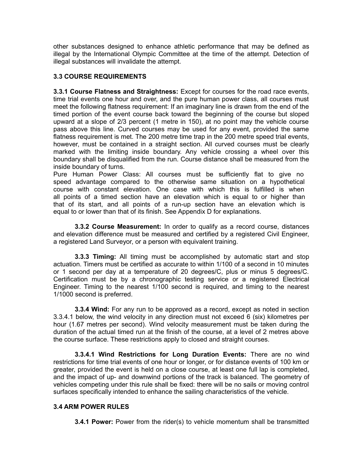other substances designed to enhance athletic performance that may be defined as illegal by the International Olympic Committee at the time of the attempt. Detection of illegal substances will invalidate the attempt.

## **3.3 COURSE REQUIREMENTS**

**3.3.1 Course Flatness and Straightness:** Except for courses for the road race events, time trial events one hour and over, and the pure human power class, all courses must meet the following flatness requirement: If an imaginary line is drawn from the end of the timed portion of the event course back toward the beginning of the course but sloped upward at a slope of 2/3 percent (1 metre in 150), at no point may the vehicle course pass above this line. Curved courses may be used for any event, provided the same flatness requirement is met. The 200 metre time trap in the 200 metre speed trial events, however, must be contained in a straight section. All curved courses must be clearly marked with the limiting inside boundary. Any vehicle crossing a wheel over this boundary shall be disqualified from the run. Course distance shall be measured from the inside boundary of turns.

Pure Human Power Class: All courses must be sufficiently flat to give no speed advantage compared to the otherwise same situation on a hypothetical course with constant elevation. One case with which this is fulfilled is when all points of a timed section have an elevation which is equal to or higher than that of its start, and all points of a run-up section have an elevation which is equal to or lower than that of its finish. See Appendix D for explanations.

**3.3.2 Course Measurement:** In order to qualify as a record course, distances and elevation difference must be measured and certified by a registered Civil Engineer, a registered Land Surveyor, or a person with equivalent training.

**3.3.3 Timing:** All timing must be accomplished by automatic start and stop actuation. Timers must be certified as accurate to within 1/100 of a second in 10 minutes or 1 second per day at a temperature of 20 degrees/C, plus or minus 5 degrees/C. Certification must be by a chronographic testing service or a registered Electrical Engineer. Timing to the nearest 1/100 second is required, and timing to the nearest 1/1000 second is preferred.

**3.3.4 Wind:** For any run to be approved as a record, except as noted in section 3.3.4.1 below, the wind velocity in any direction must not exceed 6 (six) kilometres per hour (1.67 metres per second). Wind velocity measurement must be taken during the duration of the actual timed run at the finish of the course, at a level of 2 metres above the course surface. These restrictions apply to closed and straight courses.

**3.3.4.1 Wind Restrictions for Long Duration Events:** There are no wind restrictions for time trial events of one hour or longer, or for distance events of 100 km or greater, provided the event is held on a close course, at least one full lap is completed, and the impact of up- and downwind portions of the track is balanced. The geometry of vehicles competing under this rule shall be fixed: there will be no sails or moving control surfaces specifically intended to enhance the sailing characteristics of the vehicle.

## **3.4 ARM POWER RULES**

**3.4.1 Power:** Power from the rider(s) to vehicle momentum shall be transmitted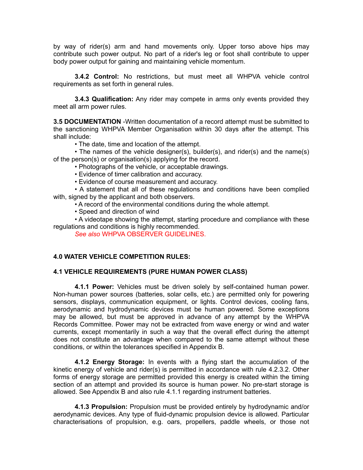by way of rider(s) arm and hand movements only. Upper torso above hips may contribute such power output. No part of a rider's leg or foot shall contribute to upper body power output for gaining and maintaining vehicle momentum.

**3.4.2 Control:** No restrictions, but must meet all WHPVA vehicle control requirements as set forth in general rules.

**3.4.3 Qualification:** Any rider may compete in arms only events provided they meet all arm power rules.

**3.5 DOCUMENTATION** -Written documentation of a record attempt must be submitted to the sanctioning WHPVA Member Organisation within 30 days after the attempt. This shall include:

• The date, time and location of the attempt.

• The names of the vehicle designer(s), builder(s), and rider(s) and the name(s) of the person(s) or organisation(s) applying for the record.

- Photographs of the vehicle, or acceptable drawings.
- Evidence of timer calibration and accuracy.
- Evidence of course measurement and accuracy.

• A statement that all of these regulations and conditions have been complied with, signed by the applicant and both observers.

- A record of the environmental conditions during the whole attempt.
- Speed and direction of wind

• A videotape showing the attempt, starting procedure and compliance with these regulations and conditions is highly recommended.

*See also* WHPVA OBSERVER GUIDELINES.

#### **4.0 WATER VEHICLE COMPETITION RULES:**

#### **4.1 VEHICLE REQUIREMENTS (PURE HUMAN POWER CLASS)**

**4.1.1 Power:** Vehicles must be driven solely by self-contained human power. Non-human power sources (batteries, solar cells, etc.) are permitted only for powering sensors, displays, communication equipment, or lights. Control devices, cooling fans, aerodynamic and hydrodynamic devices must be human powered. Some exceptions may be allowed, but must be approved in advance of any attempt by the WHPVA Records Committee. Power may not be extracted from wave energy or wind and water currents, except momentarily in such a way that the overall effect during the attempt does not constitute an advantage when compared to the same attempt without these conditions, or within the tolerances specified in Appendix B.

**4.1.2 Energy Storage:** In events with a flying start the accumulation of the kinetic energy of vehicle and rider(s) is permitted in accordance with rule 4.2.3.2. Other forms of energy storage are permitted provided this energy is created within the timing section of an attempt and provided its source is human power. No pre-start storage is allowed. See Appendix B and also rule 4.1.1 regarding instrument batteries.

**4.1.3 Propulsion:** Propulsion must be provided entirely by hydrodynamic and/or aerodynamic devices. Any type of fluid-dynamic propulsion device is allowed. Particular characterisations of propulsion, e.g. oars, propellers, paddle wheels, or those not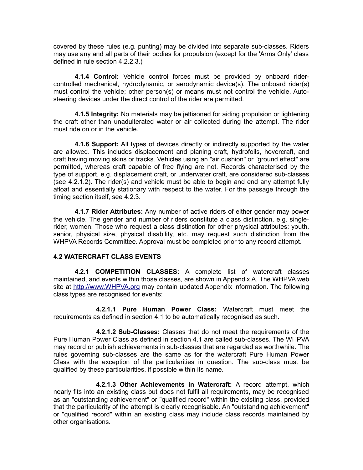covered by these rules (e.g. punting) may be divided into separate sub-classes. Riders may use any and all parts of their bodies for propulsion (except for the 'Arms Only' class defined in rule section 4.2.2.3.)

**4.1.4 Control:** Vehicle control forces must be provided by onboard ridercontrolled mechanical, hydrodynamic, or aerodynamic device(s). The onboard rider(s) must control the vehicle; other person(s) or means must not control the vehicle. Autosteering devices under the direct control of the rider are permitted.

**4.1.5 Integrity:** No materials may be jettisoned for aiding propulsion or lightening the craft other than unadulterated water or air collected during the attempt. The rider must ride on or in the vehicle.

**4.1.6 Support:** All types of devices directly or indirectly supported by the water are allowed. This includes displacement and planing craft, hydrofoils, hovercraft, and craft having moving skins or tracks. Vehicles using an "air cushion" or "ground effect" are permitted, whereas craft capable of free flying are not. Records characterised by the type of support, e.g. displacement craft, or underwater craft, are considered sub-classes (see 4.2.1.2). The rider(s) and vehicle must be able to begin and end any attempt fully afloat and essentially stationary with respect to the water. For the passage through the timing section itself, see 4.2.3.

**4.1.7 Rider Attributes:** Any number of active riders of either gender may power the vehicle. The gender and number of riders constitute a class distinction, e.g. singlerider, women. Those who request a class distinction for other physical attributes: youth, senior, physical size, physical disability, etc. may request such distinction from the WHPVA Records Committee. Approval must be completed prior to any record attempt.

## **4.2 WATERCRAFT CLASS EVENTS**

**4.2.1 COMPETITION CLASSES:** A complete list of watercraft classes maintained, and events within those classes, are shown in Appendix A. The WHPVA web site at [http://www.WHPVA.org](http://www.WHPVA.org/) may contain updated Appendix information. The following class types are recognised for events:

**4.2.1.1 Pure Human Power Class:** Watercraft must meet the requirements as defined in section 4.1 to be automatically recognised as such.

**4.2.1.2 Sub-Classes:** Classes that do not meet the requirements of the Pure Human Power Class as defined in section 4.1 are called sub-classes. The WHPVA may record or publish achievements in sub-classes that are regarded as worthwhile. The rules governing sub-classes are the same as for the watercraft Pure Human Power Class with the exception of the particularities in question. The sub-class must be qualified by these particularities, if possible within its name.

**4.2.1.3 Other Achievements in Watercraft:** A record attempt, which nearly fits into an existing class but does not fulfil all requirements, may be recognised as an "outstanding achievement" or "qualified record" within the existing class, provided that the particularity of the attempt is clearly recognisable. An "outstanding achievement" or "qualified record" within an existing class may include class records maintained by other organisations.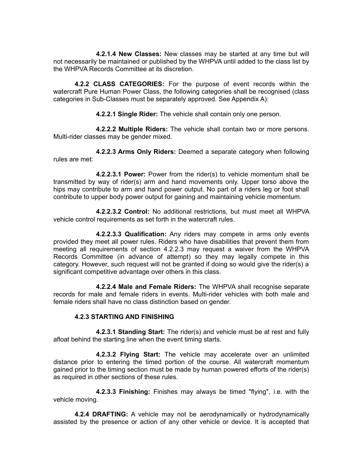**4.2.1.4 New Classes:** New classes may be started at any time but will not necessarily be maintained or published by the WHPVA until added to the class list by the WHPVA Records Committee at its discretion.

**4.2.2 CLASS CATEGORIES:** For the purpose of event records within the watercraft Pure Human Power Class, the following categories shall be recognised (class categories in Sub-Classes must be separately approved. See Appendix A):

**4.2.2.1 Single Rider:** The vehicle shall contain only one person.

**4.2.2.2 Multiple Riders:** The vehicle shall contain two or more persons. Multi-rider classes may be gender mixed.

**4.2.2.3 Arms Only Riders:** Deemed a separate category when following rules are met:

**4.2.2.3.1 Power:** Power from the rider(s) to vehicle momentum shall be transmitted by way of rider(s) arm and hand movements only. Upper torso above the hips may contribute to arm and hand power output. No part of a riders leg or foot shall contribute to upper body power output for gaining and maintaining vehicle momentum.

**4.2.2.3.2 Control:** No additional restrictions, but must meet all WHPVA vehicle control requirements as set forth in the watercraft rules.

**4.2.2.3.3 Qualification:** Any riders may compete in arms only events provided they meet all power rules. Riders who have disabilities that prevent them from meeting all requirements of section 4.2.2.3 may request a waiver from the WHPVA Records Committee (in advance of attempt) so they may legally compete in this category. However, such request will not be granted if doing so would give the rider(s) a significant competitive advantage over others in this class.

**4.2.2.4 Male and Female Riders:** The WHPVA shall recognise separate records for male and female riders in events. Multi-rider vehicles with both male and female riders shall have no class distinction based on gender.

## **4.2.3 STARTING AND FINISHING**

**4.2.3.1 Standing Start:** The rider(s) and vehicle must be at rest and fully afloat behind the starting line when the event timing starts.

**4.2.3.2 Flying Start:** The vehicle may accelerate over an unlimited distance prior to entering the timed portion of the course. All watercraft momentum gained prior to the timing section must be made by human powered efforts of the rider(s) as required in other sections of these rules.

**4.2.3.3 Finishing:** Finishes may always be timed "flying", i.e. with the vehicle moving.

**4.2.4 DRAFTING:** A vehicle may not be aerodynamically or hydrodynamically assisted by the presence or action of any other vehicle or device. It is accepted that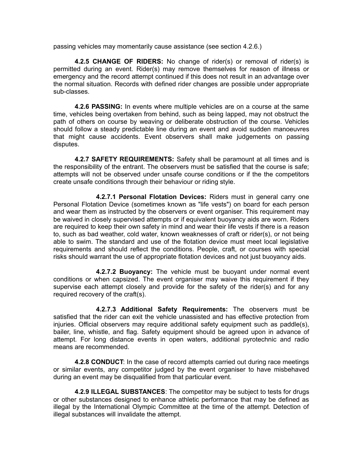passing vehicles may momentarily cause assistance (see section 4.2.6.)

**4.2.5 CHANGE OF RIDERS:** No change of rider(s) or removal of rider(s) is permitted during an event. Rider(s) may remove themselves for reason of illness or emergency and the record attempt continued if this does not result in an advantage over the normal situation. Records with defined rider changes are possible under appropriate sub-classes.

**4.2.6 PASSING:** In events where multiple vehicles are on a course at the same time, vehicles being overtaken from behind, such as being lapped, may not obstruct the path of others on course by weaving or deliberate obstruction of the course. Vehicles should follow a steady predictable line during an event and avoid sudden manoeuvres that might cause accidents. Event observers shall make judgements on passing disputes.

**4.2.7 SAFETY REQUIREMENTS:** Safety shall be paramount at all times and is the responsibility of the entrant. The observers must be satisfied that the course is safe; attempts will not be observed under unsafe course conditions or if the the competitors create unsafe conditions through their behaviour or riding style.

**4.2.7.1 Personal Flotation Devices:** Riders must in general carry one Personal Flotation Device (sometimes known as "life vests") on board for each person and wear them as instructed by the observers or event organiser. This requirement may be waived in closely supervised attempts or if equivalent buoyancy aids are worn. Riders are required to keep their own safety in mind and wear their life vests if there is a reason to, such as bad weather, cold water, known weaknesses of craft or rider(s), or not being able to swim. The standard and use of the flotation device must meet local legislative requirements and should reflect the conditions. People, craft, or courses with special risks should warrant the use of appropriate flotation devices and not just buoyancy aids.

**4.2.7.2 Buoyancy:** The vehicle must be buoyant under normal event conditions or when capsized. The event organiser may waive this requirement if they supervise each attempt closely and provide for the safety of the rider(s) and for any required recovery of the craft(s).

**4.2.7.3 Additional Safety Requirements:** The observers must be satisfied that the rider can exit the vehicle unassisted and has effective protection from injuries. Official observers may require additional safety equipment such as paddle(s), bailer, line, whistle, and flag. Safety equipment should be agreed upon in advance of attempt. For long distance events in open waters, additional pyrotechnic and radio means are recommended.

**4.2.8 CONDUCT**: In the case of record attempts carried out during race meetings or similar events, any competitor judged by the event organiser to have misbehaved during an event may be disqualified from that particular event.

**4.2.9 ILLEGAL SUBSTANCES**: The competitor may be subject to tests for drugs or other substances designed to enhance athletic performance that may be defined as illegal by the International Olympic Committee at the time of the attempt. Detection of illegal substances will invalidate the attempt.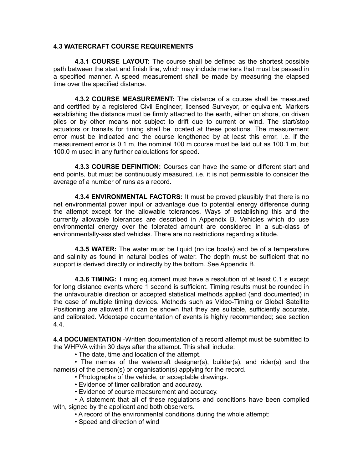#### **4.3 WATERCRAFT COURSE REQUIREMENTS**

**4.3.1 COURSE LAYOUT:** The course shall be defined as the shortest possible path between the start and finish line, which may include markers that must be passed in a specified manner. A speed measurement shall be made by measuring the elapsed time over the specified distance.

**4.3.2 COURSE MEASUREMENT:** The distance of a course shall be measured and certified by a registered Civil Engineer, licensed Surveyor, or equivalent. Markers establishing the distance must be firmly attached to the earth, either on shore, on driven piles or by other means not subject to drift due to current or wind. The start/stop actuators or transits for timing shall be located at these positions. The measurement error must be indicated and the course lengthened by at least this error, i.e. if the measurement error is 0.1 m, the nominal 100 m course must be laid out as 100.1 m, but 100.0 m used in any further calculations for speed.

**4.3.3 COURSE DEFINITION:** Courses can have the same or different start and end points, but must be continuously measured, i.e. it is not permissible to consider the average of a number of runs as a record.

**4.3.4 ENVIRONMENTAL FACTORS:** It must be proved plausibly that there is no net environmental power input or advantage due to potential energy difference during the attempt except for the allowable tolerances. Ways of establishing this and the currently allowable tolerances are described in Appendix B. Vehicles which do use environmental energy over the tolerated amount are considered in a sub-class of environmentally-assisted vehicles. There are no restrictions regarding altitude.

**4.3.5 WATER:** The water must be liquid (no ice boats) and be of a temperature and salinity as found in natural bodies of water. The depth must be sufficient that no support is derived directly or indirectly by the bottom. See Appendix B.

**4.3.6 TIMING:** Timing equipment must have a resolution of at least 0.1 s except for long distance events where 1 second is sufficient. Timing results must be rounded in the unfavourable direction or accepted statistical methods applied (and documented) in the case of multiple timing devices. Methods such as Video-Timing or Global Satellite Positioning are allowed if it can be shown that they are suitable, sufficiently accurate, and calibrated. Videotape documentation of events is highly recommended; see section 4.4.

**4.4 DOCUMENTATION** -Written documentation of a record attempt must be submitted to the WHPVA within 30 days after the attempt. This shall include:

• The date, time and location of the attempt.

• The names of the watercraft designer(s), builder(s), and rider(s) and the name(s) of the person(s) or organisation(s) applying for the record.

• Photographs of the vehicle, or acceptable drawings.

- Evidence of timer calibration and accuracy.
- Evidence of course measurement and accuracy.

• A statement that all of these regulations and conditions have been complied with, signed by the applicant and both observers.

• A record of the environmental conditions during the whole attempt:

• Speed and direction of wind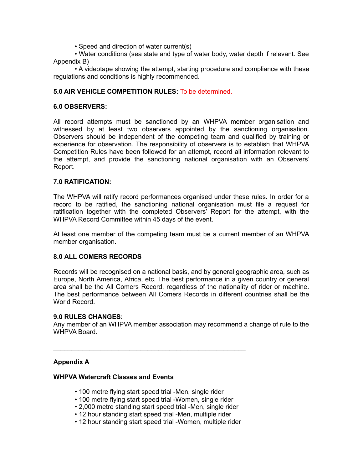• Speed and direction of water current(s)

• Water conditions (sea state and type of water body, water depth if relevant. See Appendix B)

• A videotape showing the attempt, starting procedure and compliance with these regulations and conditions is highly recommended.

## **5.0 AIR VEHICLE COMPETITION RULES:** To be determined.

#### **6.0 OBSERVERS:**

All record attempts must be sanctioned by an WHPVA member organisation and witnessed by at least two observers appointed by the sanctioning organisation. Observers should be independent of the competing team and qualified by training or experience for observation. The responsibility of observers is to establish that WHPVA Competition Rules have been followed for an attempt, record all information relevant to the attempt, and provide the sanctioning national organisation with an Observers' Report.

#### **7.0 RATIFICATION:**

The WHPVA will ratify record performances organised under these rules. In order for a record to be ratified, the sanctioning national organisation must file a request for ratification together with the completed Observers' Report for the attempt, with the WHPVA Record Committee within 45 days of the event.

At least one member of the competing team must be a current member of an WHPVA member organisation.

#### **8.0 ALL COMERS RECORDS**

Records will be recognised on a national basis, and by general geographic area, such as Europe, North America, Africa, etc. The best performance in a given country or general area shall be the All Comers Record, regardless of the nationality of rider or machine. The best performance between All Comers Records in different countries shall be the World Record.

#### **9.0 RULES CHANGES**:

Any member of an WHPVA member association may recommend a change of rule to the WHPVA Board.

#### **Appendix A**

#### **WHPVA Watercraft Classes and Events**

• 100 metre flying start speed trial -Men, single rider

\_\_\_\_\_\_\_\_\_\_\_\_\_\_\_\_\_\_\_\_\_\_\_\_\_\_\_\_\_\_\_\_\_\_\_\_\_\_\_\_\_\_\_\_\_\_\_\_\_\_\_\_\_

- 100 metre flying start speed trial -Women, single rider
- 2,000 metre standing start speed trial -Men, single rider
- 12 hour standing start speed trial -Men, multiple rider
- 12 hour standing start speed trial -Women, multiple rider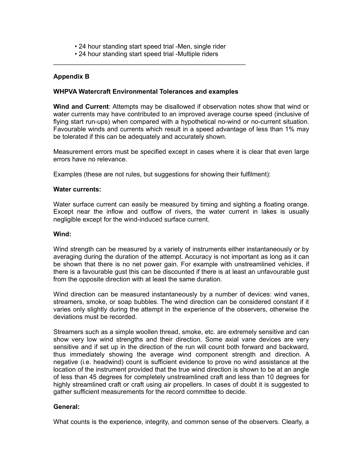- 24 hour standing start speed trial -Men, single rider
- 24 hour standing start speed trial -Multiple riders \_\_\_\_\_\_\_\_\_\_\_\_\_\_\_\_\_\_\_\_\_\_\_\_\_\_\_\_\_\_\_\_\_\_\_\_\_\_\_\_\_\_\_\_\_\_\_\_\_\_\_\_\_

## **Appendix B**

#### **WHPVA Watercraft Environmental Tolerances and examples**

**Wind and Current**: Attempts may be disallowed if observation notes show that wind or water currents may have contributed to an improved average course speed (inclusive of flying start run-ups) when compared with a hypothetical no-wind or no-current situation. Favourable winds and currents which result in a speed advantage of less than 1% may be tolerated if this can be adequately and accurately shown.

Measurement errors must be specified except in cases where it is clear that even large errors have no relevance.

Examples (these are not rules, but suggestions for showing their fulfilment):

#### **Water currents:**

Water surface current can easily be measured by timing and sighting a floating orange. Except near the inflow and outflow of rivers, the water current in lakes is usually negligible except for the wind-induced surface current.

#### **Wind:**

Wind strength can be measured by a variety of instruments either instantaneously or by averaging during the duration of the attempt. Accuracy is not important as long as it can be shown that there is no net power gain. For example with unstreamlined vehicles, if there is a favourable gust this can be discounted if there is at least an unfavourable gust from the opposite direction with at least the same duration.

Wind direction can be measured instantaneously by a number of devices: wind vanes, streamers, smoke, or soap bubbles. The wind direction can be considered constant if it varies only slightly during the attempt in the experience of the observers, otherwise the deviations must be recorded.

Streamers such as a simple woollen thread, smoke, etc. are extremely sensitive and can show very low wind strengths and their direction. Some axial vane devices are very sensitive and if set up in the direction of the run will count both forward and backward, thus immediately showing the average wind component strength and direction. A negative (i.e. headwind) count is sufficient evidence to prove no wind assistance at the location of the instrument provided that the true wind direction is shown to be at an angle of less than 45 degrees for completely unstreamlined craft and less than 10 degrees for highly streamlined craft or craft using air propellers. In cases of doubt it is suggested to gather sufficient measurements for the record committee to decide.

## **General:**

What counts is the experience, integrity, and common sense of the observers. Clearly, a